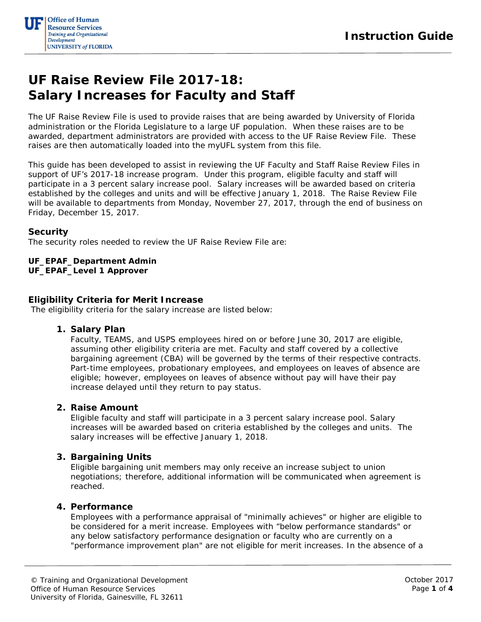

# **UF Raise Review File 2017-18: Salary Increases for Faculty and Staff**

The UF Raise Review File is used to provide raises that are being awarded by University of Florida administration or the Florida Legislature to a large UF population. When these raises are to be awarded, department administrators are provided with access to the UF Raise Review File. These raises are then automatically loaded into the myUFL system from this file.

This guide has been developed to assist in reviewing the UF Faculty and Staff Raise Review Files in support of UF's 2017-18 increase program. Under this program, eligible faculty and staff will participate in a 3 percent salary increase pool. Salary increases will be awarded based on criteria established by the colleges and units and will be effective January 1, 2018. The Raise Review File will be available to departments from Monday, November 27, 2017, through the end of business on Friday, December 15, 2017.

## **Security**

The security roles needed to review the UF Raise Review File are:

#### **UF\_EPAF\_Department Admin UF\_EPAF\_Level 1 Approver**

#### **Eligibility Criteria for Merit Increase**

The eligibility criteria for the salary increase are listed below:

#### **1. Salary Plan**

Faculty, TEAMS, and USPS employees hired on or before June 30, 2017 are eligible, assuming other eligibility criteria are met. Faculty and staff covered by a collective bargaining agreement (CBA) will be governed by the terms of their respective contracts. Part-time employees, probationary employees, and employees on leaves of absence are eligible; however, employees on leaves of absence without pay will have their pay increase delayed until they return to pay status.

## **2. Raise Amount**

Eligible faculty and staff will participate in a 3 percent salary increase pool. Salary increases will be awarded based on criteria established by the colleges and units. The salary increases will be effective January 1, 2018.

## **3. Bargaining Units**

Eligible bargaining unit members may only receive an increase subject to union negotiations; therefore, additional information will be communicated when agreement is reached.

## **4. Performance**

Employees with a performance appraisal of "minimally achieves" or higher are eligible to be considered for a merit increase. Employees with "below performance standards" or any below satisfactory performance designation or faculty who are currently on a "performance improvement plan" are not eligible for merit increases. In the absence of a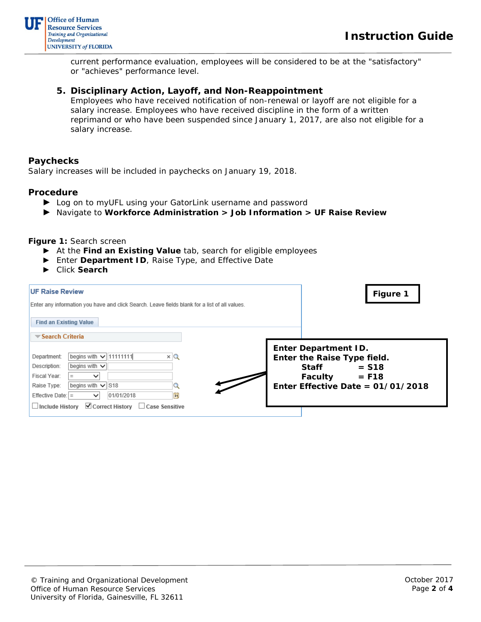

current performance evaluation, employees will be considered to be at the "satisfactory" or "achieves" performance level.

# **5. Disciplinary Action, Layoff, and Non-Reappointment**

Employees who have received notification of non-renewal or layoff are not eligible for a salary increase. Employees who have received discipline in the form of a written reprimand or who have been suspended since January 1, 2017, are also not eligible for a salary increase.

## **Paychecks**

Salary increases will be included in paychecks on January 19, 2018.

#### **Procedure**

- ► Log on to myUFL using your GatorLink username and password
- ► Navigate to **Workforce Administration > Job Information > UF Raise Review**

**Figure 1:** Search screen

- ► At the **Find an Existing Value** tab, search for eligible employees
- ► Enter **Department ID**, Raise Type, and Effective Date
- ► Click **Search**

| <b>UF Raise Review</b><br>Enter any information you have and click Search. Leave fields blank for a list of all values.<br><b>Find an Existing Value</b>                                                                                                                                                                                                     | <b>Figure 1</b>                                                                                                                                           |
|--------------------------------------------------------------------------------------------------------------------------------------------------------------------------------------------------------------------------------------------------------------------------------------------------------------------------------------------------------------|-----------------------------------------------------------------------------------------------------------------------------------------------------------|
| $\blacktriangledown$ Search Criteria<br>begins with $\sqrt{111111111}$<br>Department:<br>$\times$ Q<br>begins with $\vee$<br>Description:<br>Fiscal Year:<br>$\check{ }$<br>begins with $\sqrt{\text{S}}$ 18<br>Raise Type:<br>的<br>01/01/2018<br>Effective Date: $ =$<br>$\check{ }$<br>$\Box$ Include History $\Box$ Correct History $\Box$ Case Sensitive | <b>Enter Department ID.</b><br>Enter the Raise Type field.<br><b>Staff</b><br>$=$ S18<br>$=$ F18<br><b>Faculty</b><br>Enter Effective Date = $01/01/2018$ |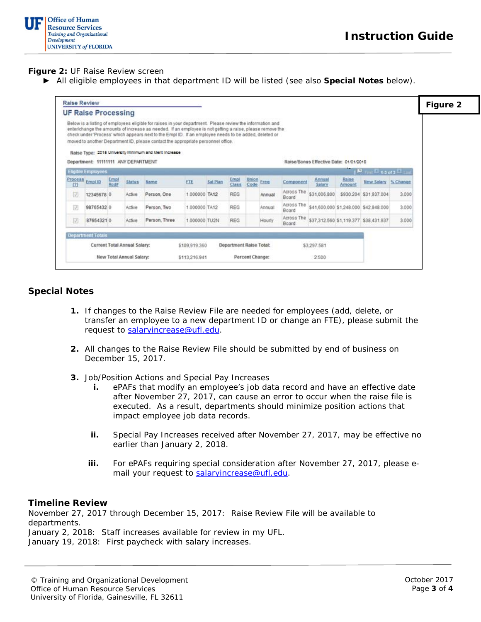

**Figure 2:** UF Raise Review screen

► All eligible employees in that department ID will be listed (see also **Special Notes** below).

| Raise Review                                             |                                     |              |               |                                                                                                                                                                                                                                                                                                                                                                                                                                                                              |               |                         |              |               |        |                      |                                        |                 |                                       |          | Figure 2 |
|----------------------------------------------------------|-------------------------------------|--------------|---------------|------------------------------------------------------------------------------------------------------------------------------------------------------------------------------------------------------------------------------------------------------------------------------------------------------------------------------------------------------------------------------------------------------------------------------------------------------------------------------|---------------|-------------------------|--------------|---------------|--------|----------------------|----------------------------------------|-----------------|---------------------------------------|----------|----------|
|                                                          | <b>UF Raise Processing</b>          |              |               |                                                                                                                                                                                                                                                                                                                                                                                                                                                                              |               |                         |              |               |        |                      |                                        |                 |                                       |          |          |
|                                                          | Department: 11111111 ANY DEPARTMENT |              |               | Below is a listing of employees eligible for raises in your department. Please review the information and<br>enter/change the amounts of increase as needed. If an employee is not getting a raise, please remove the<br>check under 'Process' which appears next to the Empl ID. If an employee needs to be added, deleted or<br>moved to another Department ID, please contact the appropriate personnel office.<br>Raise Type: 2015 University Minimum and Merit Increase |               |                         |              |               |        |                      | Raise/Bonus Effective Date: 01/01/2016 |                 |                                       |          |          |
|                                                          | Eligible Employees                  |              |               |                                                                                                                                                                                                                                                                                                                                                                                                                                                                              |               |                         |              |               |        |                      |                                        |                 | $E_{\text{int}}E_{\text{1.1}}$        |          |          |
| <b>Process</b><br>121                                    | Empl ID                             | Emp!<br>Rod# | <b>Status</b> | Name                                                                                                                                                                                                                                                                                                                                                                                                                                                                         | FTE           | Sal Plan                | Emp<br>Class | Union<br>Code | Freq   | Component            | Annual<br>Salary                       | Raise<br>Amount | <b>New Salary</b>                     | % Change |          |
| $ \nabla $                                               | 12345678 0                          |              | Active        | Person, One                                                                                                                                                                                                                                                                                                                                                                                                                                                                  | 1.000000 TA12 |                         | REG          |               | Annual | Across The<br>Board  | \$31,006.800                           |                 | \$930.204 \$31,937.004                | 3.000    |          |
| ŢJ.                                                      | 98765432 0                          |              | Active        | Person, Two                                                                                                                                                                                                                                                                                                                                                                                                                                                                  | 1.000000 TA12 |                         | REG          |               | Annual | Across The<br>Board  |                                        |                 | \$41,600,000 \$1,248,000 \$42,848,000 | 3.000    |          |
| $ \nabla $                                               | 876543210                           |              | Active        | Person, Three                                                                                                                                                                                                                                                                                                                                                                                                                                                                | 1.000000 TU2N |                         | <b>REG</b>   |               | Hourly | Across The<br>Board. |                                        |                 | \$37,312.560 \$1,119.377 \$38,431.937 | 3.000    |          |
|                                                          | <b>Department Totals</b>            |              |               |                                                                                                                                                                                                                                                                                                                                                                                                                                                                              |               |                         |              |               |        |                      |                                        |                 |                                       |          |          |
| Current Total Annual Salary:<br>New Total Annual Salary: |                                     |              |               |                                                                                                                                                                                                                                                                                                                                                                                                                                                                              | \$109,919.360 | Department Raise Total: |              |               |        | \$3,297,581          |                                        |                 |                                       |          |          |
|                                                          |                                     |              |               |                                                                                                                                                                                                                                                                                                                                                                                                                                                                              | \$113,216.941 | Percent Change:         |              |               | 2500   |                      |                                        |                 |                                       |          |          |

## **Special Notes**

- **1.** If changes to the Raise Review File are needed for employees (add, delete, or transfer an employee to a new department ID or change an FTE), please submit the request to [salaryincrease@ufl.edu.](mailto:salaryincrease@ufl.edu)
- **2.** All changes to the Raise Review File should be submitted by end of business on December 15, 2017.
- **3.** Job/Position Actions and Special Pay Increases
	- **i.** ePAFs that modify an employee's job data record and have an effective date after November 27, 2017, can cause an error to occur when the raise file is executed. As a result, departments should minimize position actions that impact employee job data records.
	- **ii.** Special Pay Increases received after November 27, 2017, may be effective no earlier than January 2, 2018.
	- **iii.** For ePAFs requiring special consideration after November 27, 2017, please email your request to [salaryincrease@ufl.edu.](mailto:salaryincrease@ufl.edu)

#### **Timeline Review**

November 27, 2017 through December 15, 2017: Raise Review File will be available to departments. January 2, 2018: Staff increases available for review in my UFL. January 19, 2018: First paycheck with salary increases.

© Training and Organizational Development Office of Human Resource Services University of Florida, Gainesville, FL 32611